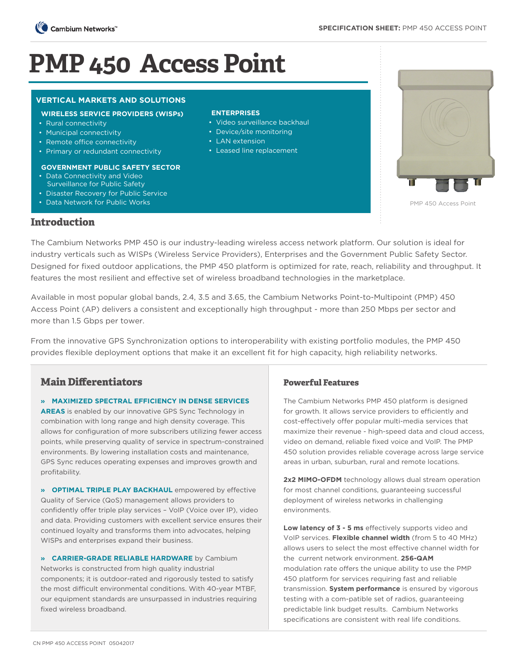

# **PMP 450 Access Point**

### **VERTICAL MARKETS AND SOLUTIONS**

#### **WIRELESS SERVICE PROVIDERS (WISPs)**

- Rural connectivity
- Municipal connectivity
- Remote office connectivity
- Primary or redundant connectivity

#### **GOVERNMENT PUBLIC SAFETY SECTOR**

- Data Connectivity and Video Surveillance for Public Safety
- Disaster Recovery for Public Service
- Data Network for Public Works

#### **ENTERPRISES**

- Video surveillance backhaul
- Device/site monitoring
- LAN extension
- Leased line replacement



PMP 450 Access Point

# **Introduction**

The Cambium Networks PMP 450 is our industry-leading wireless access network platform. Our solution is ideal for industry verticals such as WISPs (Wireless Service Providers), Enterprises and the Government Public Safety Sector. Designed for fixed outdoor applications, the PMP 450 platform is optimized for rate, reach, reliability and throughput. It features the most resilient and effective set of wireless broadband technologies in the marketplace.

Available in most popular global bands, 2.4, 3.5 and 3.65, the Cambium Networks Point-to-Multipoint (PMP) 450 Access Point (AP) delivers a consistent and exceptionally high throughput - more than 250 Mbps per sector and more than 1.5 Gbps per tower.

From the innovative GPS Synchronization options to interoperability with existing portfolio modules, the PMP 450 provides flexible deployment options that make it an excellent fit for high capacity, high reliability networks.

# **Main Differentiators**

**» MAXIMIZED SPECTRAL EFFICIENCY IN DENSE SERVICES AREAS** is enabled by our innovative GPS Sync Technology in

combination with long range and high density coverage. This allows for configuration of more subscribers utilizing fewer access points, while preserving quality of service in spectrum-constrained environments. By lowering installation costs and maintenance, GPS Sync reduces operating expenses and improves growth and profitability.

**» OPTIMAL TRIPLE PLAY BACKHAUL** empowered by effective Quality of Service (QoS) management allows providers to confidently offer triple play services – VoIP (Voice over IP), video and data. Providing customers with excellent service ensures their continued loyalty and transforms them into advocates, helping WISPs and enterprises expand their business.

**» CARRIER-GRADE RELIABLE HARDWARE** by Cambium Networks is constructed from high quality industrial components; it is outdoor-rated and rigorously tested to satisfy the most difficult environmental conditions. With 40-year MTBF, our equipment standards are unsurpassed in industries requiring fixed wireless broadband.

## **Powerful Features**

The Cambium Networks PMP 450 platform is designed for growth. It allows service providers to efficiently and cost-effectively offer popular multi-media services that maximize their revenue - high-speed data and cloud access, video on demand, reliable fixed voice and VoIP. The PMP 450 solution provides reliable coverage across large service areas in urban, suburban, rural and remote locations.

2x2 MIMO-OFDM technology allows dual stream operation for most channel conditions, guaranteeing successful deployment of wireless networks in challenging environments.

**Low latency of 3 - 5 ms** effectively supports video and VoIP services. **Flexible channel width** (from 5 to 40 MHz) allows users to select the most effective channel width for the current network environment. **256-QAM** modulation rate offers the unique ability to use the PMP 450 platform for services requiring fast and reliable transmission. **System performance** is ensured by vigorous testing with a com-patible set of radios, guaranteeing predictable link budget results. Cambium Networks specifications are consistent with real life conditions.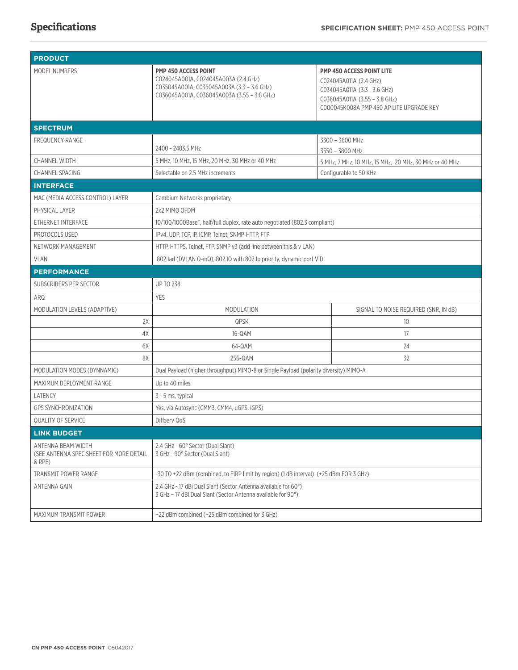# **Specifications**

| <b>PRODUCT</b>                                                          |                                                                                                                                                                  |                                                                                                                                                                         |  |
|-------------------------------------------------------------------------|------------------------------------------------------------------------------------------------------------------------------------------------------------------|-------------------------------------------------------------------------------------------------------------------------------------------------------------------------|--|
| MODEL NUMBERS                                                           | <b>PMP 450 ACCESS POINT</b><br>C024045A001A, C024045A003A (2.4 GHz)<br>C035045A001A, C035045A003A (3.3 - 3.6 GHz)<br>C036045A001A, C036045A003A (3.55 - 3.8 GHz) | <b>PMP 450 ACCESS POINT LITE</b><br>C024045A011A (2.4 GHz)<br>C034045A011A (3.3 - 3.6 GHz)<br>C036045A011A (3.55 - 3.8 GHz)<br>C000045K008A PMP 450 AP LITE UPGRADE KEY |  |
| <b>SPECTRUM</b>                                                         |                                                                                                                                                                  |                                                                                                                                                                         |  |
| <b>FREQUENCY RANGE</b>                                                  | 2400 - 2483.5 MHz                                                                                                                                                | 3300 - 3600 MHz<br>3550 - 3800 MHz                                                                                                                                      |  |
| <b>CHANNEL WIDTH</b>                                                    | 5 MHz, 10 MHz, 15 MHz, 20 MHz, 30 MHz or 40 MHz                                                                                                                  | 5 MHz, 7 MHz, 10 MHz, 15 MHz, 20 MHz, 30 MHz or 40 MHz                                                                                                                  |  |
| <b>CHANNEL SPACING</b>                                                  | Selectable on 2.5 MHz increments                                                                                                                                 | Configurable to 50 KHz                                                                                                                                                  |  |
| <b>INTERFACE</b>                                                        |                                                                                                                                                                  |                                                                                                                                                                         |  |
| MAC (MEDIA ACCESS CONTROL) LAYER                                        | Cambium Networks proprietary                                                                                                                                     |                                                                                                                                                                         |  |
| PHYSICAL LAYER                                                          | 2x2 MIMO OFDM                                                                                                                                                    |                                                                                                                                                                         |  |
| ETHERNET INTERFACE                                                      | 10/100/1000BaseT, half/full duplex, rate auto negotiated (802.3 compliant)                                                                                       |                                                                                                                                                                         |  |
| PROTOCOLS USED                                                          | IPv4, UDP, TCP, IP, ICMP, Telnet, SNMP, HTTP, FTP                                                                                                                |                                                                                                                                                                         |  |
| NETWORK MANAGEMENT                                                      | HTTP, HTTPS, Telnet, FTP, SNMP v3 (add line between this & v LAN)                                                                                                |                                                                                                                                                                         |  |
| <b>VLAN</b>                                                             | 802.1ad (DVLAN Q-inQ), 802.1Q with 802.1p priority, dynamic port VID                                                                                             |                                                                                                                                                                         |  |
| <b>PERFORMANCE</b>                                                      |                                                                                                                                                                  |                                                                                                                                                                         |  |
| SUBSCRIBERS PER SECTOR                                                  | <b>UP TO 238</b>                                                                                                                                                 |                                                                                                                                                                         |  |
| ARQ                                                                     | <b>YES</b>                                                                                                                                                       |                                                                                                                                                                         |  |
| MODULATION LEVELS (ADAPTIVE)                                            | <b>MODULATION</b>                                                                                                                                                | SIGNAL TO NOISE REQUIRED (SNR, IN dB)                                                                                                                                   |  |
| 2X                                                                      | QPSK                                                                                                                                                             | 10                                                                                                                                                                      |  |
| 4X                                                                      | 16-QAM                                                                                                                                                           | 17                                                                                                                                                                      |  |
| 6X                                                                      | 64-QAM                                                                                                                                                           | 24                                                                                                                                                                      |  |
| 8X                                                                      | 256-QAM                                                                                                                                                          | 32                                                                                                                                                                      |  |
| MODULATION MODES (DYNNAMIC)                                             | Dual Payload (higher throughput) MIMO-8 or Single Payload (polarity diversity) MIMO-A                                                                            |                                                                                                                                                                         |  |
| MAXIMUM DEPLOYMENT RANGE                                                | Up to 40 miles                                                                                                                                                   |                                                                                                                                                                         |  |
| LATENCY                                                                 | 3 - 5 ms, typical                                                                                                                                                |                                                                                                                                                                         |  |
| <b>GPS SYNCHRONIZATION</b>                                              | Yes, via Autosync (CMM3, CMM4, uGPS, iGPS)                                                                                                                       |                                                                                                                                                                         |  |
| <b>QUALITY OF SERVICE</b>                                               | Diffserv QoS                                                                                                                                                     |                                                                                                                                                                         |  |
| <b>LINK BUDGET</b>                                                      |                                                                                                                                                                  |                                                                                                                                                                         |  |
| ANTENNA BEAM WIDTH<br>(SEE ANTENNA SPEC SHEET FOR MORE DETAIL<br>& RPE) | 2.4 GHz - 60° Sector (Dual Slant)<br>3 GHz - 90° Sector (Dual Slant)                                                                                             |                                                                                                                                                                         |  |
| TRANSMIT POWER RANGE                                                    | -30 TO +22 dBm (combined, to EIRP limit by region) (1 dB interval) (+25 dBm FOR 3 GHz)                                                                           |                                                                                                                                                                         |  |
| ANTENNA GAIN                                                            | 2.4 GHz - 17 dBi Dual Slant (Sector Antenna available for 60°)<br>3 GHz - 17 dBi Dual Slant (Sector Antenna available for 90°)                                   |                                                                                                                                                                         |  |
| MAXIMUM TRANSMIT POWER                                                  | +22 dBm combined (+25 dBm combined for 3 GHz)                                                                                                                    |                                                                                                                                                                         |  |